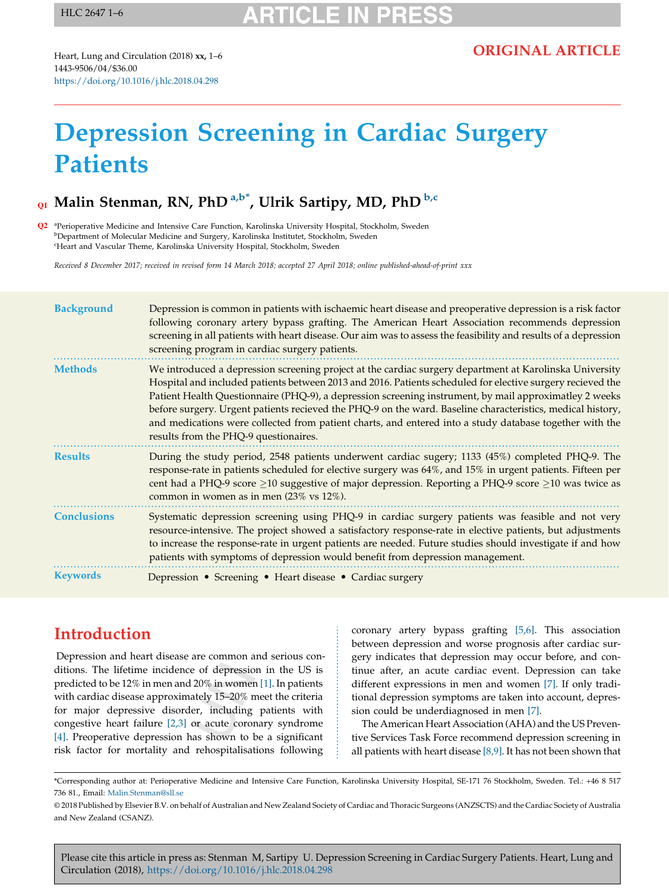## **RTICLE IN PR**

Heart, Lung and Circulation (2018) xx, 1–6 1443-9506/04/\$36.00 <https://doi.org/10.1016/j.hlc.2018.04.298>

# Depression Screening in Cardiac Surgery **Patients**

## Q1 Malin Stenman, RN, PhD <sup>a,b\*</sup>, Ulrik Sartipy, MD, PhD <sup>b,c</sup>

<sup>a</sup> Perioperative Medicine and Intensive Care Function, Karolinska University Hospital, Stockholm, Sweden <sup>b</sup>Department of Molecular Medicine and Surgery, Karolinska Institutet, Stockholm, Sweden c Heart and Vascular Theme, Karolinska University Hospital, Stockholm, Sweden

Received 8 December 2017; received in revised form 14 March 2018; accepted 27 April 2018; online published-ahead-of-print xxx

| <b>Background</b>  | Depression is common in patients with ischaemic heart disease and preoperative depression is a risk factor<br>following coronary artery bypass grafting. The American Heart Association recommends depression<br>screening in all patients with heart disease. Our aim was to assess the feasibility and results of a depression<br>screening program in cardiac surgery patients.                                                                                                                                                                                                                |
|--------------------|---------------------------------------------------------------------------------------------------------------------------------------------------------------------------------------------------------------------------------------------------------------------------------------------------------------------------------------------------------------------------------------------------------------------------------------------------------------------------------------------------------------------------------------------------------------------------------------------------|
| <b>Methods</b>     | We introduced a depression screening project at the cardiac surgery department at Karolinska University<br>Hospital and included patients between 2013 and 2016. Patients scheduled for elective surgery recieved the<br>Patient Health Questionnaire (PHQ-9), a depression screening instrument, by mail approximatley 2 weeks<br>before surgery. Urgent patients recieved the PHQ-9 on the ward. Baseline characteristics, medical history,<br>and medications were collected from patient charts, and entered into a study database together with the<br>results from the PHQ-9 questionaires. |
| <b>Results</b>     | During the study period, 2548 patients underwent cardiac sugery; 1133 (45%) completed PHQ-9. The<br>response-rate in patients scheduled for elective surgery was 64%, and 15% in urgent patients. Fifteen per<br>cent had a PHQ-9 score $\geq$ 10 suggestive of major depression. Reporting a PHQ-9 score $\geq$ 10 was twice as<br>common in women as in men (23% vs 12%).                                                                                                                                                                                                                       |
| <b>Conclusions</b> | Systematic depression screening using PHQ-9 in cardiac surgery patients was feasible and not very<br>resource-intensive. The project showed a satisfactory response-rate in elective patients, but adjustments<br>to increase the response-rate in urgent patients are needed. Future studies should investigate if and how<br>patients with symptoms of depression would benefit from depression management.                                                                                                                                                                                     |
| <b>Keywords</b>    | Depression • Screening • Heart disease • Cardiac surgery                                                                                                                                                                                                                                                                                                                                                                                                                                                                                                                                          |

### Introduction

Depression and heart disease are common and serious conditions. The lifetime incidence of depression in the US is predicted to be 12% in men and 20% in women [\[1\]](#page-5-0). In patients with cardiac disease approximately 15–20% meet the criteria for major depressive disorder, including patients with congestive heart failure [\[2,3\]](#page-5-0) or acute coronary syndrome [\[4\].](#page-5-0) Preoperative depression has shown to be a significant risk factor for mortality and rehospitalisations following

coronary artery bypass grafting [\[5,6\].](#page-5-0) This association between depression and worse prognosis after cardiac surgery indicates that depression may occur before, and continue after, an acute cardiac event. Depression can take different expressions in men and women [\[7\].](#page-5-0) If only traditional depression symptoms are taken into account, depression could be underdiagnosed in men [\[7\]](#page-5-0).

The American Heart Association (AHA) and the US Preventive Services Task Force recommend depression screening in all patients with heart disease  $[8,9]$ . It has not been shown that

<sup>\*</sup>Corresponding author at: Perioperative Medicine and Intensive Care Function, Karolinska University Hospital, SE-171 76 Stockholm, Sweden. Tel.: +46 8 517 736 81., Email: [Malin.Stenman@sll.se](mailto:Malin.Stenman@sll.se)

<sup>©</sup> 2018 Published by Elsevier B.V. on behalf of Australian and New Zealand Society of Cardiac and Thoracic Surgeons (ANZSCTS) and the Cardiac Society of Australia and New Zealand (CSANZ).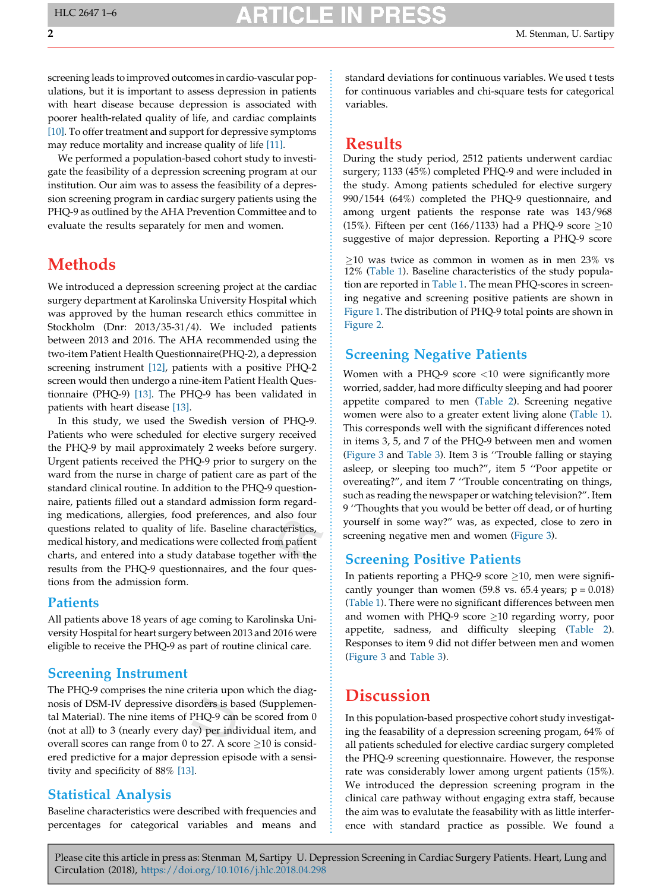## **RTICI E IN**

screening leads to improved outcomes in cardio-vascular populations, but it is important to assess depression in patients with heart disease because depression is associated with poorer health-related quality of life, and cardiac complaints [\[10\]](#page-5-0). To offer treatment and support for depressive symptoms may reduce mortality and increase quality of life [\[11\].](#page-5-0)

We performed a population-based cohort study to investigate the feasibility of a depression screening program at our institution. Our aim was to assess the feasibility of a depression screening program in cardiac surgery patients using the PHQ-9 as outlined by the AHA Prevention Committee and to evaluate the results separately for men and women.

### **Methods**

We introduced a depression screening project at the cardiac surgery department at Karolinska University Hospital which was approved by the human research ethics committee in Stockholm (Dnr: 2013/35-31/4). We included patients between 2013 and 2016. The AHA recommended using the two-item Patient Health Questionnaire(PHQ-2), a depression screening instrument [\[12\]](#page-5-0), patients with a positive PHQ-2 screen would then undergo a nine-item Patient Health Questionnaire (PHQ-9) [\[13\].](#page-5-0) The PHQ-9 has been validated in patients with heart disease [\[13\].](#page-5-0)

In this study, we used the Swedish version of PHQ-9. Patients who were scheduled for elective surgery received the PHQ-9 by mail approximately 2 weeks before surgery. Urgent patients received the PHQ-9 prior to surgery on the ward from the nurse in charge of patient care as part of the standard clinical routine. In addition to the PHQ-9 questionnaire, patients filled out a standard admission form regarding medications, allergies, food preferences, and also four questions related to quality of life. Baseline characteristics, medical history, and medications were collected from patient charts, and entered into a study database together with the results from the PHQ-9 questionnaires, and the four questions from the admission form.

#### **Patients**

All patients above 18 years of age coming to Karolinska University Hospital for heart surgery between 2013 and 2016 were eligible to receive the PHQ-9 as part of routine clinical care.

#### Screening Instrument

The PHQ-9 comprises the nine criteria upon which the diagnosis of DSM-IV depressive disorders is based (Supplemental Material). The nine items of PHQ-9 can be scored from 0 (not at all) to 3 (nearly every day) per individual item, and overall scores can range from 0 to 27. A score  $\geq$  10 is considered predictive for a major depression episode with a sensitivity and specificity of 88% [\[13\]](#page-5-0).

#### Statistical Analysis

Baseline characteristics were described with frequencies and percentages for categorical variables and means and standard deviations for continuous variables. We used t tests for continuous variables and chi-square tests for categorical variables.

#### **Results**

During the study period, 2512 patients underwent cardiac surgery; 1133 (45%) completed PHQ-9 and were included in the study. Among patients scheduled for elective surgery 990/1544 (64%) completed the PHQ-9 questionnaire, and among urgent patients the response rate was 143/968 (15%). Fifteen per cent (166/1133) had a PHQ-9 score  $\geq$ 10 suggestive of major depression. Reporting a PHQ-9 score

 $\geq$ 10 was twice as common in women as in men 23% vs 12% ([Table](#page-2-0) 1). Baseline characteristics of the study population are reported in [Table](#page-2-0) 1. The mean PHQ-scores in screening negative and screening positive patients are shown in [Figure](#page-2-0) 1. The distribution of PHQ-9 total points are shown in [Figure](#page-3-0) 2.

#### Screening Negative Patients

Women with a PHQ-9 score <10 were significantly more worried, sadder, had more difficulty sleeping and had poorer appetite compared to men ([Table](#page-3-0) 2). Screening negative women were also to a greater extent living alone ([Table](#page-2-0) 1). This corresponds well with the significant differences noted in items 3, 5, and 7 of the PHQ-9 between men and women ([Figure](#page-4-0) 3 and [Table](#page-4-0) 3). Item 3 is ''Trouble falling or staying asleep, or sleeping too much?", item 5 ''Poor appetite or overeating?", and item 7 ''Trouble concentrating on things, such as reading the newspaper or watching television?". Item 9 ''Thoughts that you would be better off dead, or of hurting yourself in some way?" was, as expected, close to zero in screening negative men and women ([Figure](#page-4-0) 3).

#### Screening Positive Patients

In patients reporting a PHQ-9 score  $\geq$ 10, men were significantly younger than women (59.8 vs. 65.4 years;  $p = 0.018$ ) ([Table](#page-2-0) 1). There were no significant differences between men and women with PHQ-9 score  $\geq$ 10 regarding worry, poor appetite, sadness, and difficulty sleeping ([Table](#page-3-0) 2). Responses to item 9 did not differ between men and women ([Figure](#page-4-0) 3 and [Table 3](#page-4-0)).

#### **Discussion**

In this population-based prospective cohort study investigating the feasability of a depression screening progam, 64% of all patients scheduled for elective cardiac surgery completed the PHQ-9 screening questionnaire. However, the response rate was considerably lower among urgent patients (15%). We introduced the depression screening program in the clinical care pathway without engaging extra staff, because the aim was to evalutate the feasability with as little interference with standard practice as possible. We found a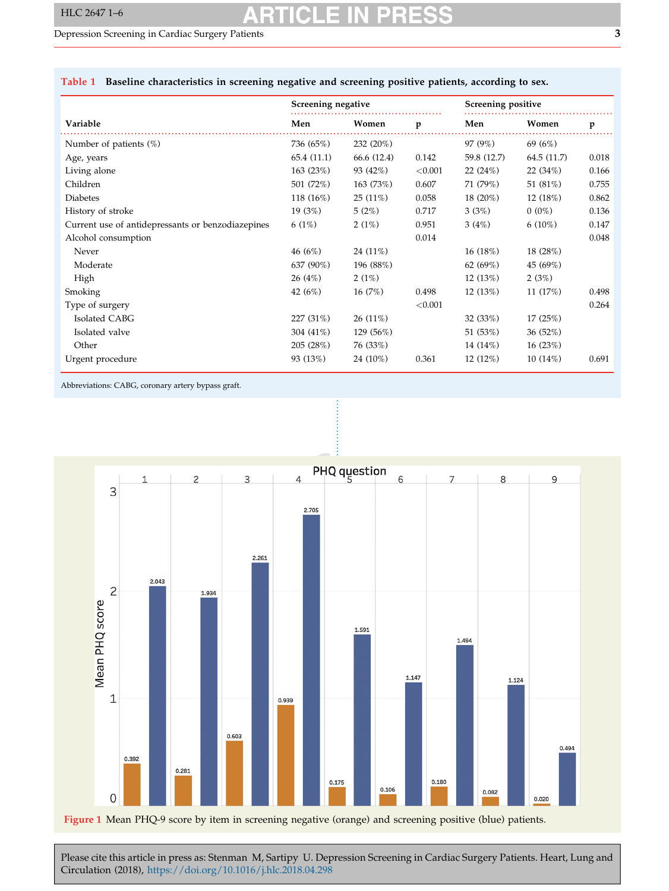#### <span id="page-2-0"></span>Depression Screening in Cardiac Surgery Patients 3

#### Table 1 Baseline characteristics in screening negative and screening positive patients, according to sex.

|                                                   | Screening negative |             | Screening positive |             |             |       |
|---------------------------------------------------|--------------------|-------------|--------------------|-------------|-------------|-------|
| Variable                                          | Men                | Women       | p                  | Men         | Women       | p     |
| Number of patients $(\%)$                         | 736 (65%)          | 232 (20%)   |                    | 97 (9%)     | 69 (6%)     |       |
| Age, years                                        | 65.4 (11.1)        | 66.6 (12.4) | 0.142              | 59.8 (12.7) | 64.5 (11.7) | 0.018 |
| Living alone                                      | 163 (23%)          | 93 (42%)    | ${<}0.001$         | 22(24%)     | 22(34%)     | 0.166 |
| Children                                          | 501 (72%)          | 163 (73%)   | 0.607              | 71 (79%)    | 51 (81%)    | 0.755 |
| <b>Diabetes</b>                                   | 118 (16%)          | $25(11\%)$  | 0.058              | $18(20\%)$  | 12 (18%)    | 0.862 |
| History of stroke                                 | 19(3%)             | 5(2%)       | 0.717              | 3(3%)       | $0(0\%)$    | 0.136 |
| Current use of antidepressants or benzodiazepines | 6(1%)              | 2(1%)       | 0.951              | 3(4%)       | $6(10\%)$   | 0.147 |
| Alcohol consumption                               |                    |             | 0.014              |             |             | 0.048 |
| Never                                             | 46(6%)             | 24 (11%)    |                    | 16 (18%)    | 18 (28%)    |       |
| Moderate                                          | 637 (90%)          | 196 (88%)   |                    | 62 (69%)    | 45 (69%)    |       |
| High                                              | 26(4%)             | 2(1%)       |                    | 12(13%)     | 2(3%)       |       |
| Smoking                                           | 42 (6%)            | 16(7%)      | 0.498              | 12 (13%)    | 11 (17%)    | 0.498 |
| Type of surgery                                   |                    |             | < 0.001            |             |             | 0.264 |
| Isolated CABG                                     | 227 (31%)          | $26(11\%)$  |                    | 32(33%)     | 17(25%)     |       |
| Isolated valve                                    | 304 (41%)          | 129 (56%)   |                    | 51 (53%)    | 36(52%)     |       |
| Other                                             | 205 (28%)          | 76 (33%)    |                    | 14 (14%)    | 16(23%)     |       |
| Urgent procedure                                  | 93 (13%)           | 24 (10%)    | 0.361              | 12(12%)     | 10(14%)     | 0.691 |

Abbreviations: CABG, coronary artery bypass graft.

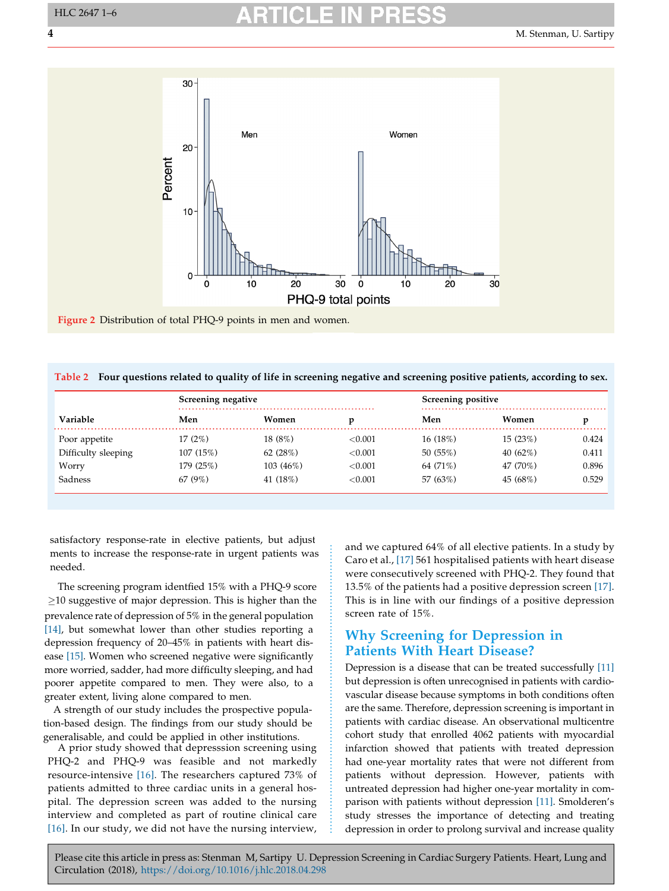<span id="page-3-0"></span>

Figure 2 Distribution of total PHQ-9 points in men and women.

| Table 2 Four questions related to quality of life in screening negative and screening positive patients, according to sex. |  |  |  |  |  |  |
|----------------------------------------------------------------------------------------------------------------------------|--|--|--|--|--|--|
|----------------------------------------------------------------------------------------------------------------------------|--|--|--|--|--|--|

|                     | Screening negative |             | Screening positive |          |             |       |
|---------------------|--------------------|-------------|--------------------|----------|-------------|-------|
| <b>Variable</b>     | Men                | Women       |                    | Men      | Women       | v     |
| Poor appetite       | 17 (2%)            | 18 (8%)     | ${<}0.001$         | 16 (18%) | 15(23%)     | 0.424 |
| Difficulty sleeping | 107(15%)           | 62(28%)     | ${<}0.001$         | 50(55%)  | 40 $(62\%)$ | 0.411 |
| Worry               | 179 (25%)          | $103(46\%)$ | ${<}0.001$         | 64 (71%) | 47 (70%)    | 0.896 |
| Sadness             | 67(9%)             | 41 (18%)    | ${<}0.001$         | 57 (63%) | 45 (68%)    | 0.529 |

satisfactory response-rate in elective patients, but adjustments to increase the response-rate in urgent patients was needed.

The screening program identfied 15% with a PHQ-9 score  $\geq$ 10 suggestive of major depression. This is higher than the prevalence rate of depression of 5% in the general population [[14\],](#page-5-0) but somewhat lower than other studies reporting a depression frequency of 20–45% in patients with heart disease [\[15\].](#page-5-0) Women who screened negative were significantly more worried, sadder, had more difficulty sleeping, and had poorer appetite compared to men. They were also, to a greater extent, living alone compared to men.

A strength of our study includes the prospective population-based design. The findings from our study should be generalisable, and could be applied in other institutions.

A prior study showed that depresssion screening using PHQ-2 and PHQ-9 was feasible and not markedly resource-intensive [\[16\]](#page-5-0). The researchers captured 73% of patients admitted to three cardiac units in a general hospital. The depression screen was added to the nursing interview and completed as part of routine clinical care [\[16\]](#page-5-0). In our study, we did not have the nursing interview,

and we captured 64% of all elective patients. In a study by Caro et al., [\[17\]](#page-5-0) 561 hospitalised patients with heart disease were consecutively screened with PHQ-2. They found that 13.5% of the patients had a positive depression screen [\[17\].](#page-5-0) This is in line with our findings of a positive depression screen rate of 15%.

#### Why Screening for Depression in Patients With Heart Disease?

Depression is a disease that can be treated successfully [\[11\]](#page-5-0) but depression is often unrecognised in patients with cardiovascular disease because symptoms in both conditions often are the same. Therefore, depression screening is important in patients with cardiac disease. An observational multicentre cohort study that enrolled 4062 patients with myocardial infarction showed that patients with treated depression had one-year mortality rates that were not different from patients without depression. However, patients with untreated depression had higher one-year mortality in comparison with patients without depression [\[11\]](#page-5-0). Smolderen's study stresses the importance of detecting and treating depression in order to prolong survival and increase quality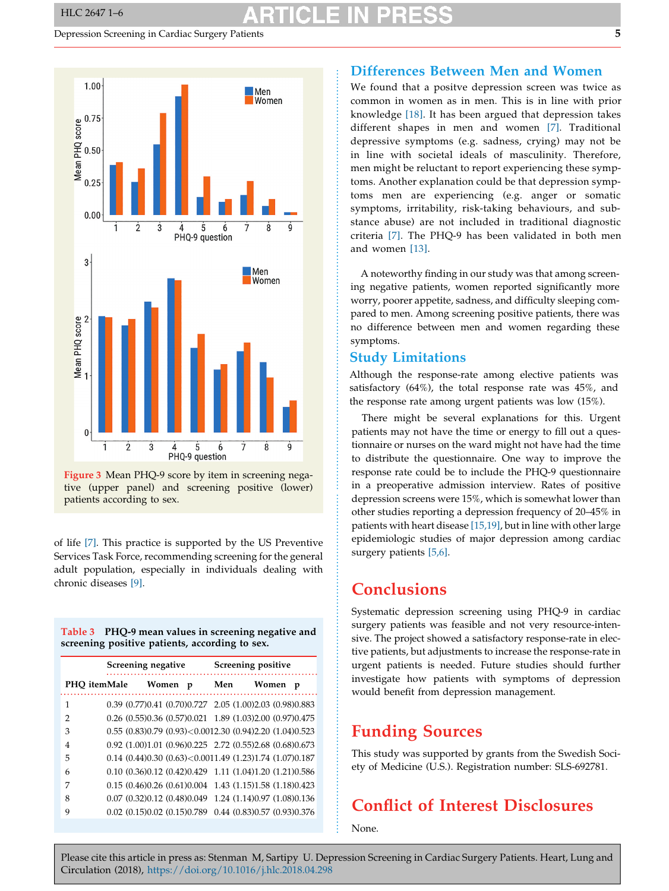#### <span id="page-4-0"></span>Depression Screening in Cardiac Surgery Patients 5



Figure 3 Mean PHQ-9 score by item in screening negative (upper panel) and screening positive (lower) patients according to sex.

of life [\[7\].](#page-5-0) This practice is supported by the US Preventive Services Task Force, recommending screening for the general adult population, especially in individuals dealing with chronic diseases [\[9\].](#page-5-0)

| Table 3 PHQ-9 mean values in screening negative and |
|-----------------------------------------------------|
| screening positive patients, according to sex.      |

|              | Screening negative |                                   |   | Screening positive |                                                                       |   |
|--------------|--------------------|-----------------------------------|---|--------------------|-----------------------------------------------------------------------|---|
| PHO itemMale |                    | Women                             | p | Men                | Women                                                                 | p |
| 1            |                    |                                   |   |                    | 0.39 (0.77) 0.41 (0.70) 0.727 2.05 (1.00) 2.03 (0.98) 0.883           |   |
| 2            |                    |                                   |   |                    | 0.26 (0.55)0.36 (0.57)0.021 1.89 (1.03)2.00 (0.97)0.475               |   |
| 3            |                    |                                   |   |                    | $0.55$ $(0.83)0.79$ $(0.93) < 0.0012.30$ $(0.94)2.20$ $(1.04)0.523$   |   |
| 4            |                    |                                   |   |                    | 0.92 (1.00)1.01 (0.96)0.225 2.72 (0.55)2.68 (0.68)0.673               |   |
| 5            |                    |                                   |   |                    | $0.14$ $(0.44)0.30$ $(0.63)$ $<$ 0.0011.49 $(1.23)1.74$ $(1.07)0.187$ |   |
| 6            |                    |                                   |   |                    | 0.10 (0.36) 0.12 (0.42) 0.429 1.11 (1.04) 1.20 (1.21) 0.586           |   |
| 7            |                    |                                   |   |                    | 0.15 (0.46) 0.26 (0.61) 0.004 1.43 (1.15) 1.58 (1.18) 0.423           |   |
| 8            |                    |                                   |   |                    | 0.07 (0.32) 0.12 (0.48) 0.049 1.24 (1.14) 0.97 (1.08) 0.136           |   |
| 9            |                    | $0.02$ $(0.15)0.02$ $(0.15)0.789$ |   |                    | 0.44 (0.83) 0.57 (0.93) 0.376                                         |   |

#### Differences Between Men and Women

We found that a positve depression screen was twice as common in women as in men. This is in line with prior knowledge [18]. It has been argued that depression takes different s[hape](#page-5-0)s in men and women [7]. Traditional depressive symptoms (e.g. sadness, cryi[ng\)](#page-5-0) may not be in line with societal ideals of masculinity. Therefore, men might be reluctant to report experiencing these symptoms. Another explanation could be that depression symptoms men are experiencing (e.g. anger or somatic symptoms, irritability, risk-taking behaviours, and substance abuse) are not included in traditional diagnostic criteria [7]. The PHQ-9 has been validated in both men and wo[men](#page-5-0) [\[13\].](#page-5-0)

A noteworthy finding in our study was that among screening negative patients, women reported significantly more worry, poorer appetite, sadness, and difficulty sleeping compared to men. Among screening positive patients, there was no difference between men and women regarding these symptoms.

#### Study Limitations

Although the response-rate among elective patients was satisfactory (64%), the total response rate was 45%, and the response rate among urgent patients was low (15%).

There might be several explanations for this. Urgent patients may not have the time or energy to fill out a questionnaire or nurses on the ward might not have had the time to distribute the questionnaire. One way to improve the response rate could be to include the PHQ-9 questionnaire in a preoperative admission interview. Rates of positive depression screens were 15%, which is somewhat lower than other studies reporting a depression frequency of 20–45% in patients with heart disease [\[15,19\]](#page-5-0), but in line with other large epidemiologic studies of major depression among cardiac surgery patients [\[5,6\].](#page-5-0)

#### Conclusions

Systematic depression screening using PHQ-9 in cardiac surgery patients was feasible and not very resource-intensive. The project showed a satisfactory response-rate in elective patients, but adjustments to increase the response-rate in urgent patients is needed. Future studies should further investigate how patients with symptoms of depression would benefit from depression management.

### Funding Sources

This study was supported by grants from the Swedish Society of Medicine (U.S.). Registration number: SLS-692781.

## Conflict of Interest Disclosures

None.